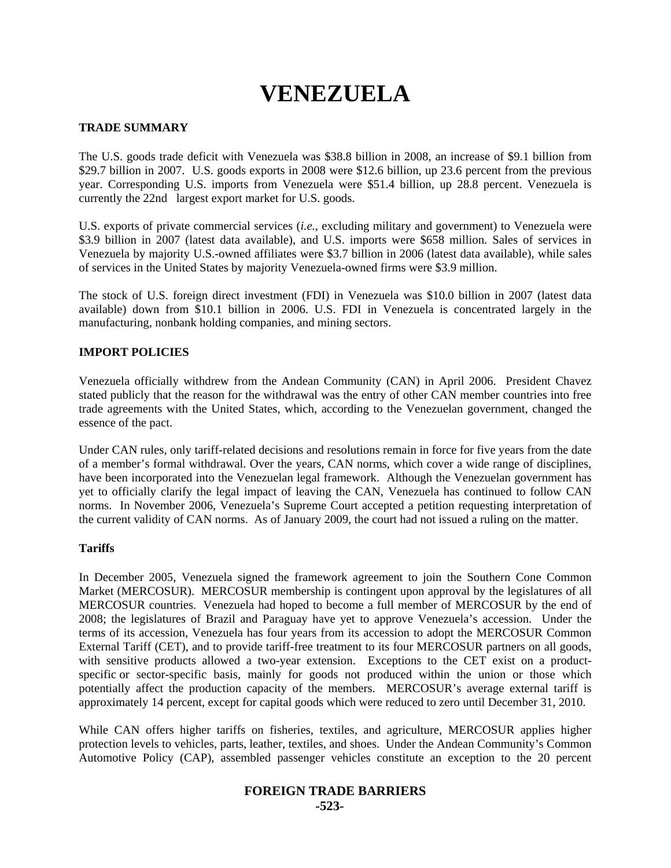# **VENEZUELA**

# **TRADE SUMMARY**

The U.S. goods trade deficit with Venezuela was \$38.8 billion in 2008, an increase of \$9.1 billion from \$29.7 billion in 2007. U.S. goods exports in 2008 were \$12.6 billion, up 23.6 percent from the previous year. Corresponding U.S. imports from Venezuela were \$51.4 billion, up 28.8 percent. Venezuela is currently the 22nd largest export market for U.S. goods.

U.S. exports of private commercial services (*i.e.*, excluding military and government) to Venezuela were \$3.9 billion in 2007 (latest data available), and U.S. imports were \$658 million. Sales of services in Venezuela by majority U.S.-owned affiliates were \$3.7 billion in 2006 (latest data available), while sales of services in the United States by majority Venezuela-owned firms were \$3.9 million.

The stock of U.S. foreign direct investment (FDI) in Venezuela was \$10.0 billion in 2007 (latest data available) down from \$10.1 billion in 2006. U.S. FDI in Venezuela is concentrated largely in the manufacturing, nonbank holding companies, and mining sectors.

# **IMPORT POLICIES**

Venezuela officially withdrew from the Andean Community (CAN) in April 2006. President Chavez stated publicly that the reason for the withdrawal was the entry of other CAN member countries into free trade agreements with the United States, which, according to the Venezuelan government, changed the essence of the pact.

Under CAN rules, only tariff-related decisions and resolutions remain in force for five years from the date of a member's formal withdrawal. Over the years, CAN norms, which cover a wide range of disciplines, have been incorporated into the Venezuelan legal framework. Although the Venezuelan government has yet to officially clarify the legal impact of leaving the CAN, Venezuela has continued to follow CAN norms. In November 2006, Venezuela's Supreme Court accepted a petition requesting interpretation of the current validity of CAN norms. As of January 2009, the court had not issued a ruling on the matter.

## **Tariffs**

In December 2005, Venezuela signed the framework agreement to join the Southern Cone Common Market (MERCOSUR). MERCOSUR membership is contingent upon approval by the legislatures of all MERCOSUR countries. Venezuela had hoped to become a full member of MERCOSUR by the end of 2008; the legislatures of Brazil and Paraguay have yet to approve Venezuela's accession. Under the terms of its accession, Venezuela has four years from its accession to adopt the MERCOSUR Common External Tariff (CET), and to provide tariff-free treatment to its four MERCOSUR partners on all goods, with sensitive products allowed a two-year extension. Exceptions to the CET exist on a productspecific or sector-specific basis, mainly for goods not produced within the union or those which potentially affect the production capacity of the members. MERCOSUR's average external tariff is approximately 14 percent, except for capital goods which were reduced to zero until December 31, 2010.

While CAN offers higher tariffs on fisheries, textiles, and agriculture, MERCOSUR applies higher protection levels to vehicles, parts, leather, textiles, and shoes. Under the Andean Community's Common Automotive Policy (CAP), assembled passenger vehicles constitute an exception to the 20 percent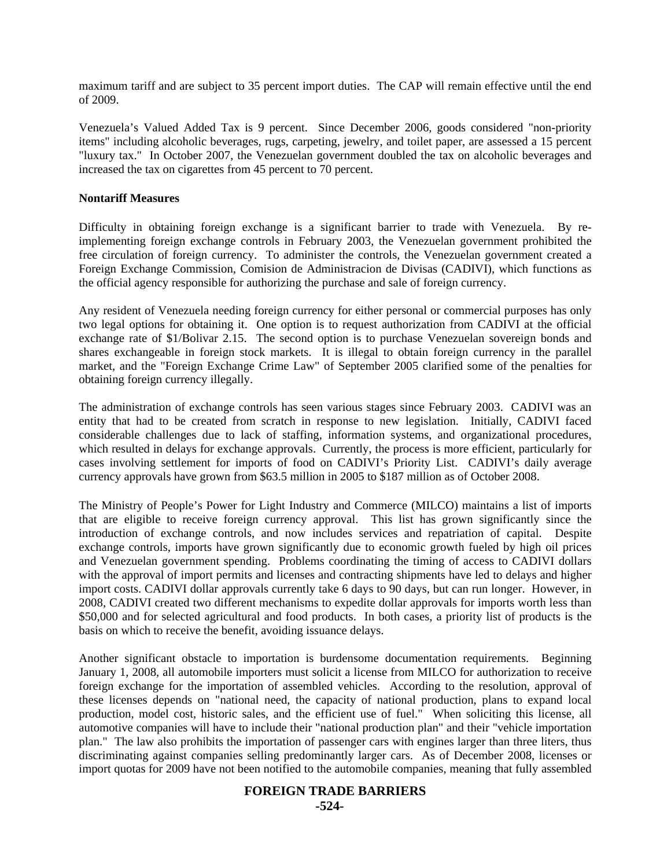maximum tariff and are subject to 35 percent import duties. The CAP will remain effective until the end of 2009.

Venezuela's Valued Added Tax is 9 percent. Since December 2006, goods considered "non-priority items" including alcoholic beverages, rugs, carpeting, jewelry, and toilet paper, are assessed a 15 percent "luxury tax." In October 2007, the Venezuelan government doubled the tax on alcoholic beverages and increased the tax on cigarettes from 45 percent to 70 percent.

#### **Nontariff Measures**

Difficulty in obtaining foreign exchange is a significant barrier to trade with Venezuela. By reimplementing foreign exchange controls in February 2003, the Venezuelan government prohibited the free circulation of foreign currency. To administer the controls, the Venezuelan government created a Foreign Exchange Commission, Comision de Administracion de Divisas (CADIVI), which functions as the official agency responsible for authorizing the purchase and sale of foreign currency.

Any resident of Venezuela needing foreign currency for either personal or commercial purposes has only two legal options for obtaining it. One option is to request authorization from CADIVI at the official exchange rate of \$1/Bolivar 2.15. The second option is to purchase Venezuelan sovereign bonds and shares exchangeable in foreign stock markets. It is illegal to obtain foreign currency in the parallel market, and the "Foreign Exchange Crime Law" of September 2005 clarified some of the penalties for obtaining foreign currency illegally.

The administration of exchange controls has seen various stages since February 2003. CADIVI was an entity that had to be created from scratch in response to new legislation. Initially, CADIVI faced considerable challenges due to lack of staffing, information systems, and organizational procedures, which resulted in delays for exchange approvals. Currently, the process is more efficient, particularly for cases involving settlement for imports of food on CADIVI's Priority List. CADIVI's daily average currency approvals have grown from \$63.5 million in 2005 to \$187 million as of October 2008.

The Ministry of People's Power for Light Industry and Commerce (MILCO) maintains a list of imports that are eligible to receive foreign currency approval. This list has grown significantly since the introduction of exchange controls, and now includes services and repatriation of capital. Despite exchange controls, imports have grown significantly due to economic growth fueled by high oil prices and Venezuelan government spending. Problems coordinating the timing of access to CADIVI dollars with the approval of import permits and licenses and contracting shipments have led to delays and higher import costs. CADIVI dollar approvals currently take 6 days to 90 days, but can run longer. However, in 2008, CADIVI created two different mechanisms to expedite dollar approvals for imports worth less than \$50,000 and for selected agricultural and food products. In both cases, a priority list of products is the basis on which to receive the benefit, avoiding issuance delays.

Another significant obstacle to importation is burdensome documentation requirements. Beginning January 1, 2008, all automobile importers must solicit a license from MILCO for authorization to receive foreign exchange for the importation of assembled vehicles. According to the resolution, approval of these licenses depends on "national need, the capacity of national production, plans to expand local production, model cost, historic sales, and the efficient use of fuel." When soliciting this license, all automotive companies will have to include their "national production plan" and their "vehicle importation plan." The law also prohibits the importation of passenger cars with engines larger than three liters, thus discriminating against companies selling predominantly larger cars. As of December 2008, licenses or import quotas for 2009 have not been notified to the automobile companies, meaning that fully assembled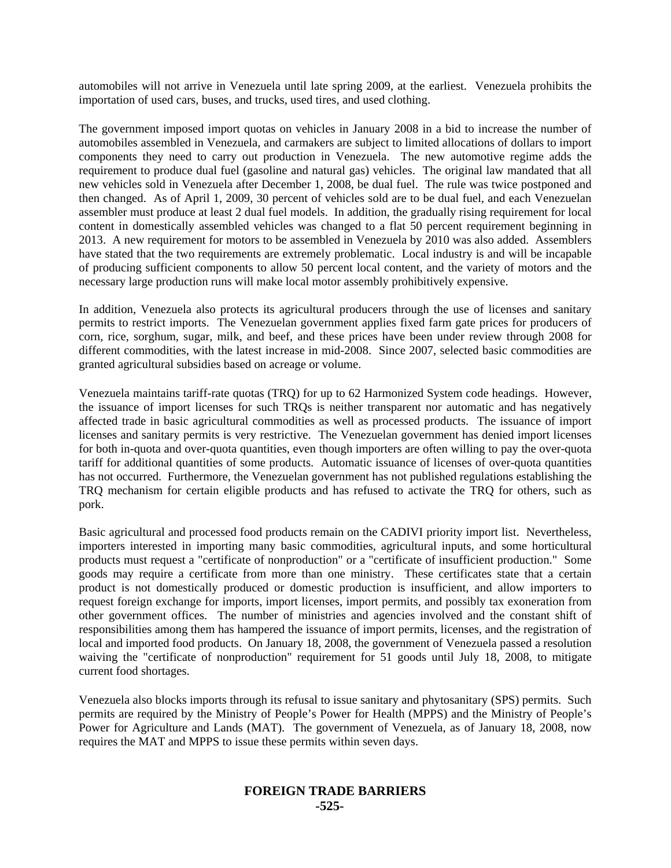automobiles will not arrive in Venezuela until late spring 2009, at the earliest. Venezuela prohibits the importation of used cars, buses, and trucks, used tires, and used clothing.

The government imposed import quotas on vehicles in January 2008 in a bid to increase the number of automobiles assembled in Venezuela, and carmakers are subject to limited allocations of dollars to import components they need to carry out production in Venezuela. The new automotive regime adds the requirement to produce dual fuel (gasoline and natural gas) vehicles. The original law mandated that all new vehicles sold in Venezuela after December 1, 2008, be dual fuel. The rule was twice postponed and then changed. As of April 1, 2009, 30 percent of vehicles sold are to be dual fuel, and each Venezuelan assembler must produce at least 2 dual fuel models. In addition, the gradually rising requirement for local content in domestically assembled vehicles was changed to a flat 50 percent requirement beginning in 2013. A new requirement for motors to be assembled in Venezuela by 2010 was also added. Assemblers have stated that the two requirements are extremely problematic. Local industry is and will be incapable of producing sufficient components to allow 50 percent local content, and the variety of motors and the necessary large production runs will make local motor assembly prohibitively expensive.

In addition, Venezuela also protects its agricultural producers through the use of licenses and sanitary permits to restrict imports. The Venezuelan government applies fixed farm gate prices for producers of corn, rice, sorghum, sugar, milk, and beef, and these prices have been under review through 2008 for different commodities, with the latest increase in mid-2008. Since 2007, selected basic commodities are granted agricultural subsidies based on acreage or volume.

Venezuela maintains tariff-rate quotas (TRQ) for up to 62 Harmonized System code headings. However, the issuance of import licenses for such TRQs is neither transparent nor automatic and has negatively affected trade in basic agricultural commodities as well as processed products. The issuance of import licenses and sanitary permits is very restrictive. The Venezuelan government has denied import licenses for both in-quota and over-quota quantities, even though importers are often willing to pay the over-quota tariff for additional quantities of some products. Automatic issuance of licenses of over-quota quantities has not occurred. Furthermore, the Venezuelan government has not published regulations establishing the TRQ mechanism for certain eligible products and has refused to activate the TRQ for others, such as pork.

Basic agricultural and processed food products remain on the CADIVI priority import list. Nevertheless, importers interested in importing many basic commodities, agricultural inputs, and some horticultural products must request a "certificate of nonproduction" or a "certificate of insufficient production." Some goods may require a certificate from more than one ministry. These certificates state that a certain product is not domestically produced or domestic production is insufficient, and allow importers to request foreign exchange for imports, import licenses, import permits, and possibly tax exoneration from other government offices. The number of ministries and agencies involved and the constant shift of responsibilities among them has hampered the issuance of import permits, licenses, and the registration of local and imported food products. On January 18, 2008, the government of Venezuela passed a resolution waiving the "certificate of nonproduction" requirement for 51 goods until July 18, 2008, to mitigate current food shortages.

Venezuela also blocks imports through its refusal to issue sanitary and phytosanitary (SPS) permits. Such permits are required by the Ministry of People's Power for Health (MPPS) and the Ministry of People's Power for Agriculture and Lands (MAT). The government of Venezuela, as of January 18, 2008, now requires the MAT and MPPS to issue these permits within seven days.

# **FOREIGN TRADE BARRIERS -525-**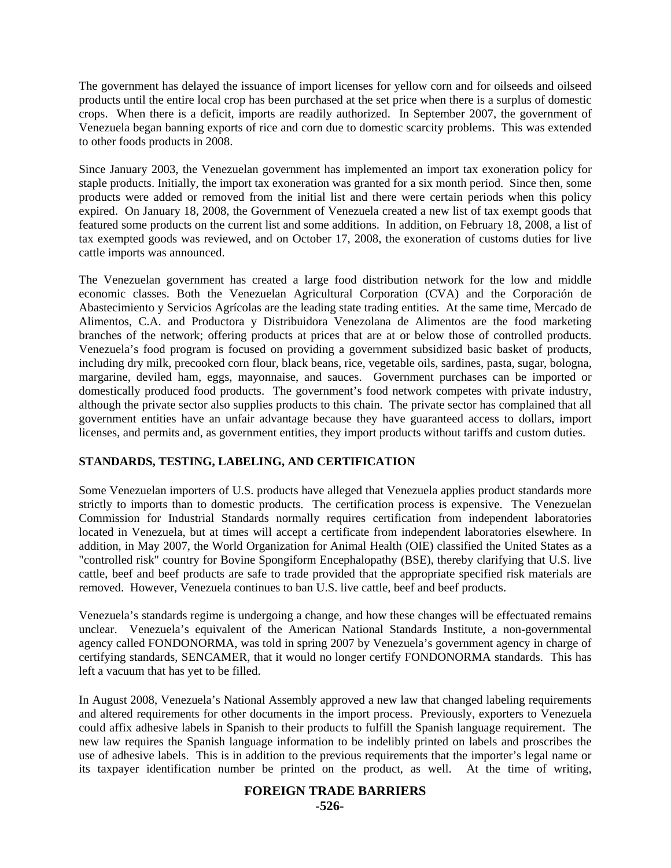The government has delayed the issuance of import licenses for yellow corn and for oilseeds and oilseed products until the entire local crop has been purchased at the set price when there is a surplus of domestic crops. When there is a deficit, imports are readily authorized. In September 2007, the government of Venezuela began banning exports of rice and corn due to domestic scarcity problems. This was extended to other foods products in 2008.

Since January 2003, the Venezuelan government has implemented an import tax exoneration policy for staple products. Initially, the import tax exoneration was granted for a six month period. Since then, some products were added or removed from the initial list and there were certain periods when this policy expired. On January 18, 2008, the Government of Venezuela created a new list of tax exempt goods that featured some products on the current list and some additions. In addition, on February 18, 2008, a list of tax exempted goods was reviewed, and on October 17, 2008, the exoneration of customs duties for live cattle imports was announced.

The Venezuelan government has created a large food distribution network for the low and middle economic classes. Both the Venezuelan Agricultural Corporation (CVA) and the Corporación de Abastecimiento y Servicios Agrícolas are the leading state trading entities. At the same time, Mercado de Alimentos, C.A. and Productora y Distribuidora Venezolana de Alimentos are the food marketing branches of the network; offering products at prices that are at or below those of controlled products. Venezuela's food program is focused on providing a government subsidized basic basket of products, including dry milk, precooked corn flour, black beans, rice, vegetable oils, sardines, pasta, sugar, bologna, margarine, deviled ham, eggs, mayonnaise, and sauces. Government purchases can be imported or domestically produced food products. The government's food network competes with private industry, although the private sector also supplies products to this chain. The private sector has complained that all government entities have an unfair advantage because they have guaranteed access to dollars, import licenses, and permits and, as government entities, they import products without tariffs and custom duties.

## **STANDARDS, TESTING, LABELING, AND CERTIFICATION**

Some Venezuelan importers of U.S. products have alleged that Venezuela applies product standards more strictly to imports than to domestic products. The certification process is expensive. The Venezuelan Commission for Industrial Standards normally requires certification from independent laboratories located in Venezuela, but at times will accept a certificate from independent laboratories elsewhere. In addition, in May 2007, the World Organization for Animal Health (OIE) classified the United States as a "controlled risk" country for Bovine Spongiform Encephalopathy (BSE), thereby clarifying that U.S. live cattle, beef and beef products are safe to trade provided that the appropriate specified risk materials are removed. However, Venezuela continues to ban U.S. live cattle, beef and beef products.

Venezuela's standards regime is undergoing a change, and how these changes will be effectuated remains unclear. Venezuela's equivalent of the American National Standards Institute, a non-governmental agency called FONDONORMA, was told in spring 2007 by Venezuela's government agency in charge of certifying standards, SENCAMER, that it would no longer certify FONDONORMA standards. This has left a vacuum that has yet to be filled.

In August 2008, Venezuela's National Assembly approved a new law that changed labeling requirements and altered requirements for other documents in the import process. Previously, exporters to Venezuela could affix adhesive labels in Spanish to their products to fulfill the Spanish language requirement. The new law requires the Spanish language information to be indelibly printed on labels and proscribes the use of adhesive labels. This is in addition to the previous requirements that the importer's legal name or its taxpayer identification number be printed on the product, as well. At the time of writing,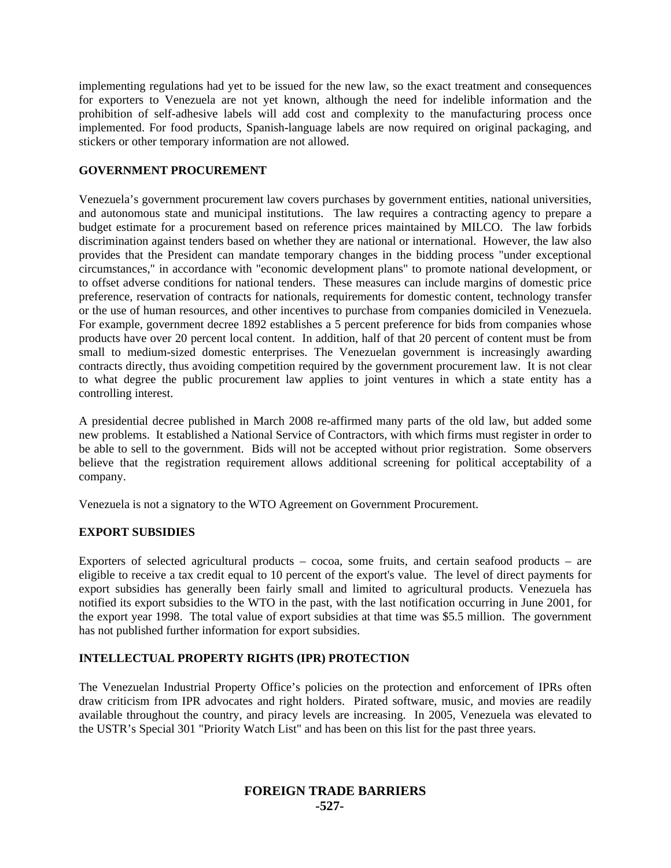implementing regulations had yet to be issued for the new law, so the exact treatment and consequences for exporters to Venezuela are not yet known, although the need for indelible information and the prohibition of self-adhesive labels will add cost and complexity to the manufacturing process once implemented. For food products, Spanish-language labels are now required on original packaging, and stickers or other temporary information are not allowed.

#### **GOVERNMENT PROCUREMENT**

Venezuela's government procurement law covers purchases by government entities, national universities, and autonomous state and municipal institutions. The law requires a contracting agency to prepare a budget estimate for a procurement based on reference prices maintained by MILCO. The law forbids discrimination against tenders based on whether they are national or international. However, the law also provides that the President can mandate temporary changes in the bidding process "under exceptional circumstances," in accordance with "economic development plans" to promote national development, or to offset adverse conditions for national tenders. These measures can include margins of domestic price preference, reservation of contracts for nationals, requirements for domestic content, technology transfer or the use of human resources, and other incentives to purchase from companies domiciled in Venezuela. For example, government decree 1892 establishes a 5 percent preference for bids from companies whose products have over 20 percent local content. In addition, half of that 20 percent of content must be from small to medium-sized domestic enterprises. The Venezuelan government is increasingly awarding contracts directly, thus avoiding competition required by the government procurement law. It is not clear to what degree the public procurement law applies to joint ventures in which a state entity has a controlling interest.

A presidential decree published in March 2008 re-affirmed many parts of the old law, but added some new problems. It established a National Service of Contractors, with which firms must register in order to be able to sell to the government. Bids will not be accepted without prior registration. Some observers believe that the registration requirement allows additional screening for political acceptability of a company.

Venezuela is not a signatory to the WTO Agreement on Government Procurement.

## **EXPORT SUBSIDIES**

Exporters of selected agricultural products – cocoa, some fruits, and certain seafood products – are eligible to receive a tax credit equal to 10 percent of the export's value. The level of direct payments for export subsidies has generally been fairly small and limited to agricultural products. Venezuela has notified its export subsidies to the WTO in the past, with the last notification occurring in June 2001, for the export year 1998. The total value of export subsidies at that time was \$5.5 million. The government has not published further information for export subsidies.

## **INTELLECTUAL PROPERTY RIGHTS (IPR) PROTECTION**

The Venezuelan Industrial Property Office's policies on the protection and enforcement of IPRs often draw criticism from IPR advocates and right holders. Pirated software, music, and movies are readily available throughout the country, and piracy levels are increasing. In 2005, Venezuela was elevated to the USTR's Special 301 "Priority Watch List" and has been on this list for the past three years.

# **FOREIGN TRADE BARRIERS -527-**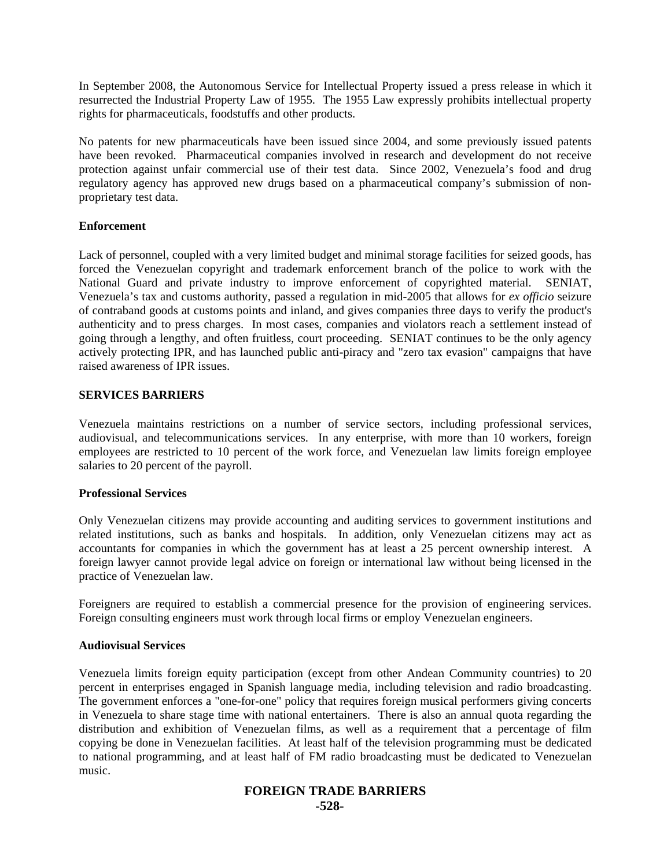In September 2008, the Autonomous Service for Intellectual Property issued a press release in which it resurrected the Industrial Property Law of 1955. The 1955 Law expressly prohibits intellectual property rights for pharmaceuticals, foodstuffs and other products.

No patents for new pharmaceuticals have been issued since 2004, and some previously issued patents have been revoked. Pharmaceutical companies involved in research and development do not receive protection against unfair commercial use of their test data. Since 2002, Venezuela's food and drug regulatory agency has approved new drugs based on a pharmaceutical company's submission of nonproprietary test data.

## **Enforcement**

Lack of personnel, coupled with a very limited budget and minimal storage facilities for seized goods, has forced the Venezuelan copyright and trademark enforcement branch of the police to work with the National Guard and private industry to improve enforcement of copyrighted material. SENIAT, Venezuela's tax and customs authority, passed a regulation in mid-2005 that allows for *ex officio* seizure of contraband goods at customs points and inland, and gives companies three days to verify the product's authenticity and to press charges. In most cases, companies and violators reach a settlement instead of going through a lengthy, and often fruitless, court proceeding. SENIAT continues to be the only agency actively protecting IPR, and has launched public anti-piracy and "zero tax evasion" campaigns that have raised awareness of IPR issues.

#### **SERVICES BARRIERS**

Venezuela maintains restrictions on a number of service sectors, including professional services, audiovisual, and telecommunications services. In any enterprise, with more than 10 workers, foreign employees are restricted to 10 percent of the work force, and Venezuelan law limits foreign employee salaries to 20 percent of the payroll.

#### **Professional Services**

Only Venezuelan citizens may provide accounting and auditing services to government institutions and related institutions, such as banks and hospitals. In addition, only Venezuelan citizens may act as accountants for companies in which the government has at least a 25 percent ownership interest. A foreign lawyer cannot provide legal advice on foreign or international law without being licensed in the practice of Venezuelan law.

Foreigners are required to establish a commercial presence for the provision of engineering services. Foreign consulting engineers must work through local firms or employ Venezuelan engineers.

#### **Audiovisual Services**

Venezuela limits foreign equity participation (except from other Andean Community countries) to 20 percent in enterprises engaged in Spanish language media, including television and radio broadcasting. The government enforces a "one-for-one" policy that requires foreign musical performers giving concerts in Venezuela to share stage time with national entertainers. There is also an annual quota regarding the distribution and exhibition of Venezuelan films, as well as a requirement that a percentage of film copying be done in Venezuelan facilities. At least half of the television programming must be dedicated to national programming, and at least half of FM radio broadcasting must be dedicated to Venezuelan music.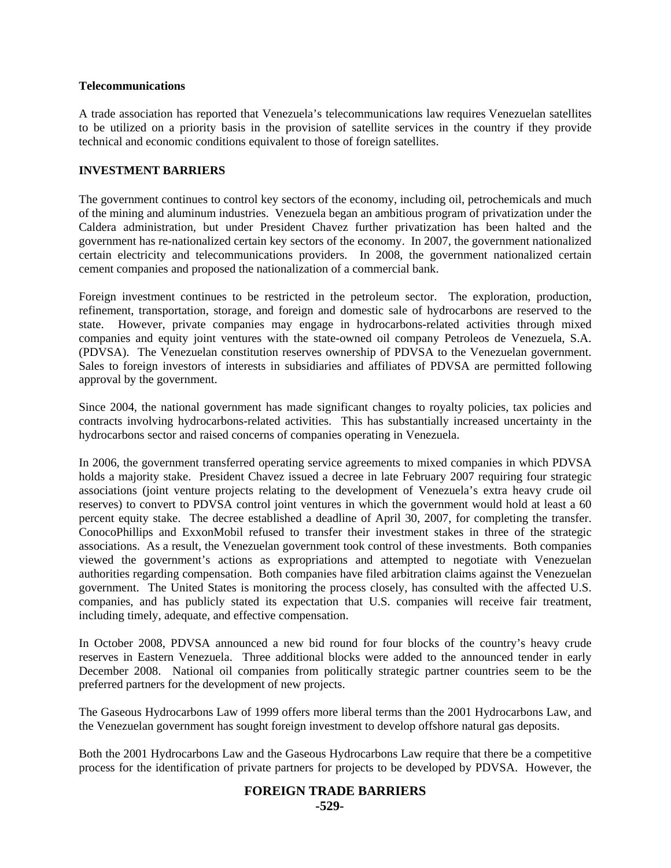#### **Telecommunications**

A trade association has reported that Venezuela's telecommunications law requires Venezuelan satellites to be utilized on a priority basis in the provision of satellite services in the country if they provide technical and economic conditions equivalent to those of foreign satellites.

#### **INVESTMENT BARRIERS**

The government continues to control key sectors of the economy, including oil, petrochemicals and much of the mining and aluminum industries. Venezuela began an ambitious program of privatization under the Caldera administration, but under President Chavez further privatization has been halted and the government has re-nationalized certain key sectors of the economy. In 2007, the government nationalized certain electricity and telecommunications providers. In 2008, the government nationalized certain cement companies and proposed the nationalization of a commercial bank.

Foreign investment continues to be restricted in the petroleum sector. The exploration, production, refinement, transportation, storage, and foreign and domestic sale of hydrocarbons are reserved to the state. However, private companies may engage in hydrocarbons-related activities through mixed companies and equity joint ventures with the state-owned oil company Petroleos de Venezuela, S.A. (PDVSA). The Venezuelan constitution reserves ownership of PDVSA to the Venezuelan government. Sales to foreign investors of interests in subsidiaries and affiliates of PDVSA are permitted following approval by the government.

Since 2004, the national government has made significant changes to royalty policies, tax policies and contracts involving hydrocarbons-related activities. This has substantially increased uncertainty in the hydrocarbons sector and raised concerns of companies operating in Venezuela.

In 2006, the government transferred operating service agreements to mixed companies in which PDVSA holds a majority stake. President Chavez issued a decree in late February 2007 requiring four strategic associations (joint venture projects relating to the development of Venezuela's extra heavy crude oil reserves) to convert to PDVSA control joint ventures in which the government would hold at least a 60 percent equity stake. The decree established a deadline of April 30, 2007, for completing the transfer. ConocoPhillips and ExxonMobil refused to transfer their investment stakes in three of the strategic associations. As a result, the Venezuelan government took control of these investments. Both companies viewed the government's actions as expropriations and attempted to negotiate with Venezuelan authorities regarding compensation. Both companies have filed arbitration claims against the Venezuelan government. The United States is monitoring the process closely, has consulted with the affected U.S. companies, and has publicly stated its expectation that U.S. companies will receive fair treatment, including timely, adequate, and effective compensation.

In October 2008, PDVSA announced a new bid round for four blocks of the country's heavy crude reserves in Eastern Venezuela. Three additional blocks were added to the announced tender in early December 2008. National oil companies from politically strategic partner countries seem to be the preferred partners for the development of new projects.

The Gaseous Hydrocarbons Law of 1999 offers more liberal terms than the 2001 Hydrocarbons Law, and the Venezuelan government has sought foreign investment to develop offshore natural gas deposits.

Both the 2001 Hydrocarbons Law and the Gaseous Hydrocarbons Law require that there be a competitive process for the identification of private partners for projects to be developed by PDVSA. However, the